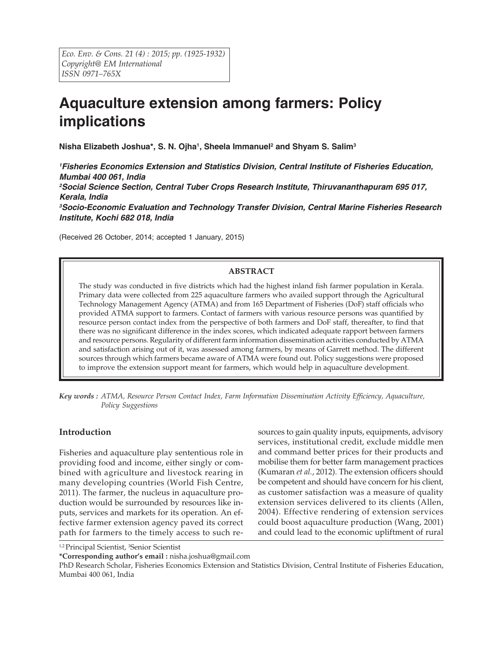# **Aquaculture extension among farmers: Policy implications**

**Nisha Elizabeth Joshua\*, S. N. Ojha1, Sheela Immanuel2 and Shyam S. Salim3**

*1 Fisheries Economics Extension and Statistics Division, Central Institute of Fisheries Education, Mumbai 400 061, India 2 Social Science Section, Central Tuber Crops Research Institute, Thiruvananthapuram 695 017, Kerala, India 3 Socio-Economic Evaluation and Technology Transfer Division, Central Marine Fisheries Research Institute, Kochi 682 018, India*

(Received 26 October, 2014; accepted 1 January, 2015)

# **ABSTRACT**

The study was conducted in five districts which had the highest inland fish farmer population in Kerala. Primary data were collected from 225 aquaculture farmers who availed support through the Agricultural Technology Management Agency (ATMA) and from 165 Department of Fisheries (DoF) staff officials who provided ATMA support to farmers. Contact of farmers with various resource persons was quantified by resource person contact index from the perspective of both farmers and DoF staff, thereafter, to find that there was no significant difference in the index scores, which indicated adequate rapport between farmers and resource persons. Regularity of different farm information dissemination activities conducted by ATMA and satisfaction arising out of it, was assessed among farmers, by means of Garrett method. The different sources through which farmers became aware of ATMA were found out. Policy suggestions were proposed to improve the extension support meant for farmers, which would help in aquaculture development.

*Key words : ATMA, Resource Person Contact Index, Farm Information Dissemination Activity Efficiency, Aquaculture, Policy Suggestions*

# **Introduction**

Fisheries and aquaculture play sententious role in providing food and income, either singly or combined with agriculture and livestock rearing in many developing countries (World Fish Centre, 2011). The farmer, the nucleus in aquaculture production would be surrounded by resources like inputs, services and markets for its operation. An effective farmer extension agency paved its correct path for farmers to the timely access to such resources to gain quality inputs, equipments, advisory services, institutional credit, exclude middle men and command better prices for their products and mobilise them for better farm management practices (Kumaran *et al.*, 2012). The extension officers should be competent and should have concern for his client, as customer satisfaction was a measure of quality extension services delivered to its clients (Allen, 2004). Effective rendering of extension services could boost aquaculture production (Wang, 2001) and could lead to the economic upliftment of rural

<sup>1,2</sup> Principal Scientist, <sup>3</sup>Senior Scientist

**\*Corresponding author's email :** nisha.joshua@gmail.com

PhD Research Scholar, Fisheries Economics Extension and Statistics Division, Central Institute of Fisheries Education, Mumbai 400 061, India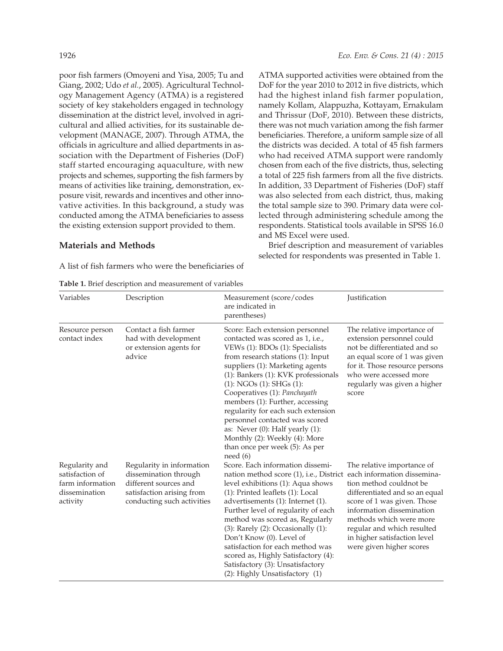poor fish farmers (Omoyeni and Yisa, 2005; Tu and Giang, 2002; Udo *et al.*, 2005). Agricultural Technology Management Agency (ATMA) is a registered society of key stakeholders engaged in technology dissemination at the district level, involved in agricultural and allied activities, for its sustainable development (MANAGE, 2007). Through ATMA, the officials in agriculture and allied departments in association with the Department of Fisheries (DoF) staff started encouraging aquaculture, with new projects and schemes, supporting the fish farmers by means of activities like training, demonstration, exposure visit, rewards and incentives and other innovative activities. In this background, a study was conducted among the ATMA beneficiaries to assess the existing extension support provided to them.

### **Materials and Methods**

A list of fish farmers who were the beneficiaries of

**Table 1.** Brief description and measurement of variables

ATMA supported activities were obtained from the DoF for the year 2010 to 2012 in five districts, which had the highest inland fish farmer population, namely Kollam, Alappuzha, Kottayam, Ernakulam and Thrissur (DoF, 2010). Between these districts, there was not much variation among the fish farmer beneficiaries. Therefore, a uniform sample size of all the districts was decided. A total of 45 fish farmers who had received ATMA support were randomly chosen from each of the five districts, thus, selecting a total of 225 fish farmers from all the five districts. In addition, 33 Department of Fisheries (DoF) staff was also selected from each district, thus, making the total sample size to 390. Primary data were collected through administering schedule among the respondents. Statistical tools available in SPSS 16.0 and MS Excel were used.

Brief description and measurement of variables selected for respondents was presented in Table 1.

| Variables                                                                          | Description                                                                                                                            | Measurement (score/codes<br>are indicated in<br>parentheses)                                                                                                                                                                                                                                                                                                                                                                                                                                                                 | Justification                                                                                                                                                                                                                                                                                           |  |  |
|------------------------------------------------------------------------------------|----------------------------------------------------------------------------------------------------------------------------------------|------------------------------------------------------------------------------------------------------------------------------------------------------------------------------------------------------------------------------------------------------------------------------------------------------------------------------------------------------------------------------------------------------------------------------------------------------------------------------------------------------------------------------|---------------------------------------------------------------------------------------------------------------------------------------------------------------------------------------------------------------------------------------------------------------------------------------------------------|--|--|
| Resource person<br>contact index                                                   | Contact a fish farmer<br>had with development<br>or extension agents for<br>advice                                                     | Score: Each extension personnel<br>contacted was scored as 1, i.e.,<br>VEWs (1): BDOs (1): Specialists<br>from research stations (1): Input<br>suppliers (1): Marketing agents<br>(1): Bankers (1): KVK professionals<br>$(1)$ : NGOs $(1)$ : SHGs $(1)$ :<br>Cooperatives (1): Panchayath<br>members (1): Further, accessing<br>regularity for each such extension<br>personnel contacted was scored<br>as: Never $(0)$ : Half yearly $(1)$ :<br>Monthly (2): Weekly (4): More<br>than once per week (5): As per<br>need(6) | The relative importance of<br>extension personnel could<br>not be differentiated and so<br>an equal score of 1 was given<br>for it. Those resource persons<br>who were accessed more<br>regularly was given a higher<br>score                                                                           |  |  |
| Regularity and<br>satisfaction of<br>farm information<br>dissemination<br>activity | Regularity in information<br>dissemination through<br>different sources and<br>satisfaction arising from<br>conducting such activities | Score. Each information dissemi-<br>nation method score (1), i.e., District<br>level exhibitions (1): Aqua shows<br>(1): Printed leaflets (1): Local<br>advertisements (1): Internet (1).<br>Further level of regularity of each<br>method was scored as, Regularly<br>$(3)$ : Rarely $(2)$ : Occasionally $(1)$ :<br>Don't Know (0). Level of<br>satisfaction for each method was<br>scored as, Highly Satisfactory (4):<br>Satisfactory (3): Unsatisfactory<br>(2): Highly Unsatisfactory (1)                              | The relative importance of<br>each information dissemina-<br>tion method couldnot be<br>differentiated and so an equal<br>score of 1 was given. Those<br>information dissemination<br>methods which were more<br>regular and which resulted<br>in higher satisfaction level<br>were given higher scores |  |  |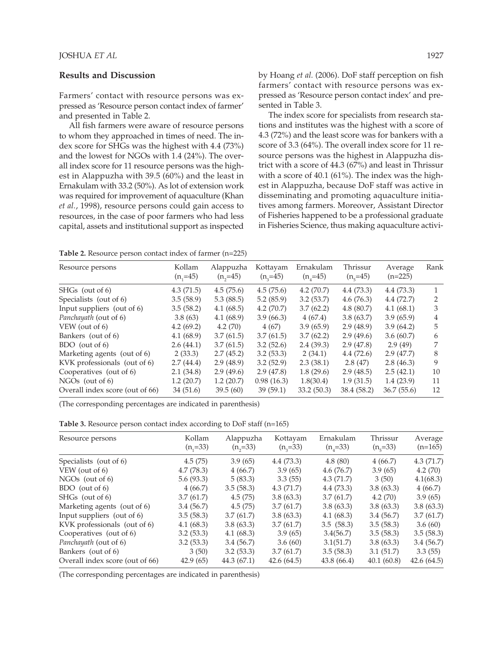#### **Results and Discussion**

Farmers' contact with resource persons was expressed as 'Resource person contact index of farmer' and presented in Table 2.

All fish farmers were aware of resource persons to whom they approached in times of need. The index score for SHGs was the highest with 4.4 (73%) and the lowest for NGOs with 1.4 (24%). The overall index score for 11 resource persons was the highest in Alappuzha with 39.5 (60%) and the least in Ernakulam with 33.2 (50%). As lot of extension work was required for improvement of aquaculture (Khan *et al.*, 1998), resource persons could gain access to resources, in the case of poor farmers who had less capital, assets and institutional support as inspected by Hoang *et al.* (2006). DoF staff perception on fish farmers' contact with resource persons was expressed as 'Resource person contact index' and presented in Table 3.

The index score for specialists from research stations and institutes was the highest with a score of 4.3 (72%) and the least score was for bankers with a score of 3.3 (64%). The overall index score for 11 resource persons was the highest in Alappuzha district with a score of 44.3 (67%) and least in Thrissur with a score of 40.1 (61%). The index was the highest in Alappuzha, because DoF staff was active in disseminating and promoting aquaculture initiatives among farmers. Moreover, Assistant Director of Fisheries happened to be a professional graduate in Fisheries Science, thus making aquaculture activi-

**Table 2.** Resource person contact index of farmer (n=225)

| Resource persons                | Kollam<br>$(n, = 45)$ | Alappuzha<br>$(n, = 45)$ | Kottayam<br>$(n_{3}=45)$ | Ernakulam<br>$(n_{4}=45)$ | Thrissur<br>$(n_s=45)$ | Average<br>$(n=225)$ | Rank |
|---------------------------------|-----------------------|--------------------------|--------------------------|---------------------------|------------------------|----------------------|------|
| SHGs (out of 6)                 | 4.3(71.5)             | 4.5(75.6)                | 4.5(75.6)                | 4.2(70.7)                 | 4.4(73.3)              | 4.4(73.3)            |      |
| Specialists (out of 6)          | 3.5(58.9)             | 5.3(88.5)                | 5.2(85.9)                | 3.2(53.7)                 | 4.6(76.3)              | 4.4(72.7)            | 2    |
| Input suppliers (out of 6)      | 3.5(58.2)             | 4.1(68.5)                | 4.2(70.7)                | 3.7(62.2)                 | 4.8(80.7)              | 4.1(68.1)            | 3    |
| Panchayath (out of 6)           | 3.8(63)               | 4.1(68.9)                | 3.9(66.3)                | 4(67.4)                   | 3.8(63.7)              | 3.9(65.9)            | 4    |
| VEW (out of 6)                  | 4.2(69.2)             | 4.2(70)                  | 4(67)                    | 3.9(65.9)                 | 2.9(48.9)              | 3.9(64.2)            | 5    |
| Bankers (out of 6)              | 4.1(68.9)             | 3.7(61.5)                | 3.7(61.5)                | 3.7(62.2)                 | 2.9(49.6)              | 3.6(60.7)            | 6    |
| BDO (out of 6)                  | 2.6(44.1)             | 3.7(61.5)                | 3.2(52.6)                | 2.4(39.3)                 | 2.9(47.8)              | 2.9(49)              | 7    |
| Marketing agents (out of 6)     | 2(33.3)               | 2.7(45.2)                | 3.2(53.3)                | 2(34.1)                   | 4.4(72.6)              | 2.9(47.7)            | 8    |
| KVK professionals (out of 6)    | 2.7(44.4)             | 2.9(48.9)                | 3.2(52.9)                | 2.3(38.1)                 | 2.8(47)                | 2.8(46.3)            | 9    |
| Cooperatives (out of 6)         | 2.1(34.8)             | 2.9(49.6)                | 2.9(47.8)                | 1.8(29.6)                 | 2.9(48.5)              | 2.5(42.1)            | 10   |
| $NGOs$ (out of 6)               | 1.2(20.7)             | 1.2(20.7)                | 0.98(16.3)               | 1.8(30.4)                 | 1.9(31.5)              | 1.4(23.9)            | 11   |
| Overall index score (out of 66) | 34(51.6)              | 39.5(60)                 | 39(59.1)                 | 33.2 (50.3)               | 38.4 (58.2)            | 36.7(55.6)           | 12   |
|                                 |                       |                          |                          |                           |                        |                      |      |

(The corresponding percentages are indicated in parenthesis)

**Table 3.** Resource person contact index according to DoF staff (n=165)

| Resource persons                | Kollam<br>$(n_1=33)$ | Alappuzha<br>$(n, = 33)$ | Kottayam<br>$(n_{3}=33)$ | Ernakulam<br>$(n_{4}=33)$ | Thrissur<br>$(n_s=33)$ | Average<br>$(n=165)$ |
|---------------------------------|----------------------|--------------------------|--------------------------|---------------------------|------------------------|----------------------|
| Specialists (out of 6)          | 4.5(75)              | 3.9(65)                  | 4.4(73.3)                | 4.8(80)                   | 4(66.7)                | 4.3(71.7)            |
| VEW (out of 6)                  | 4.7(78.3)            | 4(66.7)                  | 3.9(65)                  | 4.6(76.7)                 | 3.9(65)                | 4.2(70)              |
| $NGOs$ (out of 6)               | 5.6(93.3)            | 5(83.3)                  | 3.3(55)                  | 4.3(71.7)                 | 3(50)                  | 4.1(68.3)            |
| BDO (out of 6)                  | 4(66.7)              | 3.5(58.3)                | 4.3(71.7)                | 4.4(73.3)                 | 3.8(63.3)              | 4(66.7)              |
| $SHGs$ (out of 6)               | 3.7(61.7)            | 4.5(75)                  | 3.8(63.3)                | 3.7(61.7)                 | 4.2(70)                | 3.9(65)              |
| Marketing agents (out of 6)     | 3.4(56.7)            | 4.5(75)                  | 3.7(61.7)                | 3.8(63.3)                 | 3.8(63.3)              | 3.8(63.3)            |
| Input suppliers (out of 6)      | 3.5(58.3)            | 3.7(61.7)                | 3.8(63.3)                | 4.1(68.3)                 | 3.4(56.7)              | 3.7(61.7)            |
| KVK professionals (out of 6)    | 4.1(68.3)            | 3.8(63.3)                | 3.7(61.7)                | 3.5(58.3)                 | 3.5(58.3)              | 3.6(60)              |
| Cooperatives (out of 6)         | 3.2(53.3)            | 4.1(68.3)                | 3.9(65)                  | 3.4(56.7)                 | 3.5(58.3)              | 3.5(58.3)            |
| Panchayath (out of 6)           | 3.2(53.3)            | 3.4(56.7)                | 3.6(60)                  | 3.1(51.7)                 | 3.8(63.3)              | 3.4(56.7)            |
| Bankers (out of 6)              | 3(50)                | 3.2(53.3)                | 3.7(61.7)                | 3.5(58.3)                 | 3.1(51.7)              | 3.3(55)              |
| Overall index score (out of 66) | 42.9(65)             | 44.3(67.1)               | 42.6(64.5)               | 43.8 (66.4)               | 40.1(60.8)             | 42.6(64.5)           |

(The corresponding percentages are indicated in parenthesis)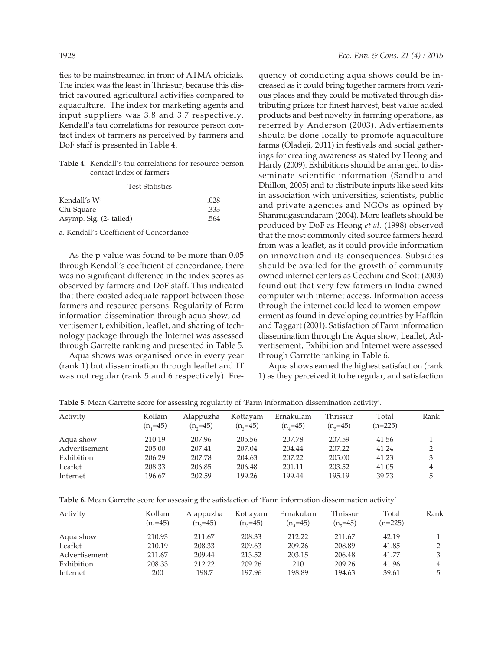ties to be mainstreamed in front of ATMA officials. The index was the least in Thrissur, because this district favoured agricultural activities compared to aquaculture. The index for marketing agents and input suppliers was 3.8 and 3.7 respectively. Kendall's tau correlations for resource person contact index of farmers as perceived by farmers and DoF staff is presented in Table 4.

**Table 4.** Kendall's tau correlations for resource person contact index of farmers

| <b>Test Statistics</b>                 |              |  |  |  |  |
|----------------------------------------|--------------|--|--|--|--|
| Kendall's W <sup>a</sup><br>Chi-Square | .028<br>.333 |  |  |  |  |
| Asymp. Sig. (2- tailed)                | .564         |  |  |  |  |

a. Kendall's Coefficient of Concordance

As the p value was found to be more than 0.05 through Kendall's coefficient of concordance, there was no significant difference in the index scores as observed by farmers and DoF staff. This indicated that there existed adequate rapport between those farmers and resource persons. Regularity of Farm information dissemination through aqua show, advertisement, exhibition, leaflet, and sharing of technology package through the Internet was assessed through Garrette ranking and presented in Table 5.

Aqua shows was organised once in every year (rank 1) but dissemination through leaflet and IT was not regular (rank 5 and 6 respectively). Frequency of conducting aqua shows could be increased as it could bring together farmers from various places and they could be motivated through distributing prizes for finest harvest, best value added products and best novelty in farming operations, as referred by Anderson (2003). Advertisements should be done locally to promote aquaculture farms (Oladeji, 2011) in festivals and social gatherings for creating awareness as stated by Heong and Hardy (2009). Exhibitions should be arranged to disseminate scientific information (Sandhu and Dhillon, 2005) and to distribute inputs like seed kits in association with universities, scientists, public and private agencies and NGOs as opined by Shanmugasundaram (2004). More leaflets should be produced by DoF as Heong *et al.* (1998) observed that the most commonly cited source farmers heard from was a leaflet, as it could provide information on innovation and its consequences. Subsidies should be availed for the growth of community owned internet centers as Cecchini and Scott (2003) found out that very few farmers in India owned computer with internet access. Information access through the internet could lead to women empowerment as found in developing countries by Haffkin and Taggart (2001). Satisfaction of Farm information dissemination through the Aqua show, Leaflet, Advertisement, Exhibition and Internet were assessed through Garrette ranking in Table 6.

Aqua shows earned the highest satisfaction (rank 1) as they perceived it to be regular, and satisfaction

**Table 5.** Mean Garrette score for assessing regularity of 'Farm information dissemination activity'.

| Activity      | Kollam<br>$(n, =45)$ | Alappuzha<br>$(n, = 45)$ | Kottayam<br>$(n, = 45)$ | Ernakulam<br>$(n, =45)$ | Thrissur<br>$(n_e=45)$ | Total<br>$(n=225)$ | Rank |
|---------------|----------------------|--------------------------|-------------------------|-------------------------|------------------------|--------------------|------|
| Aqua show     | 210.19               | 207.96                   | 205.56                  | 207.78                  | 207.59                 | 41.56              |      |
| Advertisement | 205.00               | 207.41                   | 207.04                  | 204.44                  | 207.22                 | 41.24              |      |
| Exhibition    | 206.29               | 207.78                   | 204.63                  | 207.22                  | 205.00                 | 41.23              |      |
| Leaflet       | 208.33               | 206.85                   | 206.48                  | 201.11                  | 203.52                 | 41.05              | 4    |
| Internet      | 196.67               | 202.59                   | 199.26                  | 199.44                  | 195.19                 | 39.73              | 5.   |

**Table 6.** Mean Garrette score for assessing the satisfaction of 'Farm information dissemination activity'

| Activity      | Kollam<br>$(n, =45)$ | Alappuzha<br>$(n, = 45)$ | Kottayam<br>$(n, = 45)$ | Ernakulam<br>$(n, = 45)$ | Thrissur<br>$(n_e=45)$ | Total<br>$(n=225)$ | Rank |
|---------------|----------------------|--------------------------|-------------------------|--------------------------|------------------------|--------------------|------|
| Aqua show     | 210.93               | 211.67                   | 208.33                  | 212.22                   | 211.67                 | 42.19              |      |
| Leaflet       | 210.19               | 208.33                   | 209.63                  | 209.26                   | 208.89                 | 41.85              | 2    |
| Advertisement | 211.67               | 209.44                   | 213.52                  | 203.15                   | 206.48                 | 41.77              | 3    |
| Exhibition    | 208.33               | 212.22                   | 209.26                  | 210                      | 209.26                 | 41.96              | 4    |
| Internet      | 200                  | 198.7                    | 197.96                  | 198.89                   | 194.63                 | 39.61              | 5    |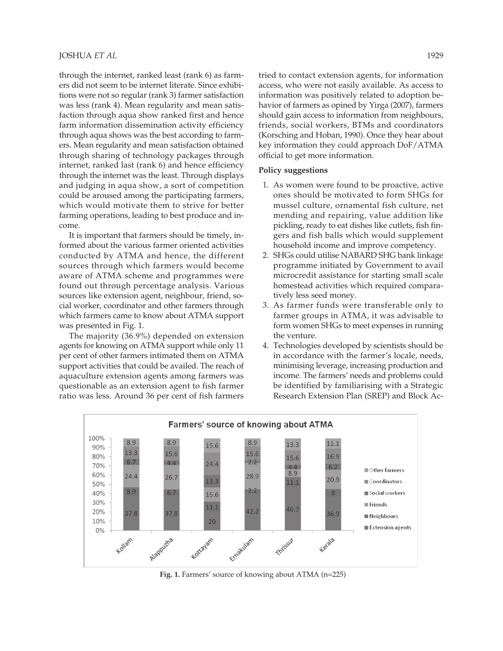### JOSHUA *ET AL* 1929

through the internet, ranked least (rank 6) as farmers did not seem to be internet literate. Since exhibitions were not so regular (rank 3) farmer satisfaction was less (rank 4). Mean regularity and mean satisfaction through aqua show ranked first and hence farm information dissemination activity efficiency through aqua shows was the best according to farmers. Mean regularity and mean satisfaction obtained through sharing of technology packages through internet, ranked last (rank 6) and hence efficiency through the internet was the least. Through displays and judging in aqua show, a sort of competition could be aroused among the participating farmers, which would motivate them to strive for better farming operations, leading to best produce and income.

It is important that farmers should be timely, informed about the various farmer oriented activities conducted by ATMA and hence, the different sources through which farmers would become aware of ATMA scheme and programmes were found out through percentage analysis. Various sources like extension agent, neighbour, friend, social worker, coordinator and other farmers through which farmers came to know about ATMA support was presented in Fig. 1.

The majority (36.9%) depended on extension agents for knowing on ATMA support while only 11 per cent of other farmers intimated them on ATMA support activities that could be availed. The reach of aquaculture extension agents among farmers was questionable as an extension agent to fish farmer ratio was less. Around 36 per cent of fish farmers tried to contact extension agents, for information access, who were not easily available. As access to information was positively related to adoption behavior of farmers as opined by Yirga (2007), farmers should gain access to information from neighbours, friends, social workers, BTMs and coordinators (Korsching and Hoban, 1990). Once they hear about key information they could approach DoF/ATMA official to get more information.

#### **Policy suggestions**

- 1. As women were found to be proactive, active ones should be motivated to form SHGs for mussel culture, ornamental fish culture, net mending and repairing, value addition like pickling, ready to eat dishes like cutlets, fish fingers and fish balls which would supplement household income and improve competency.
- 2. SHGs could utilise NABARD SHG bank linkage programme initiated by Government to avail microcredit assistance for starting small scale homestead activities which required comparatively less seed money.
- 3. As farmer funds were transferable only to farmer groups in ATMA, it was advisable to form women SHGs to meet expenses in running the venture.
- 4. Technologies developed by scientists should be in accordance with the farmer's locale, needs, minimising leverage, increasing production and income. The farmers' needs and problems could be identified by familiarising with a Strategic Research Extension Plan (SREP) and Block Ac-



**Fig. 1.** Farmers' source of knowing about ATMA (n=225)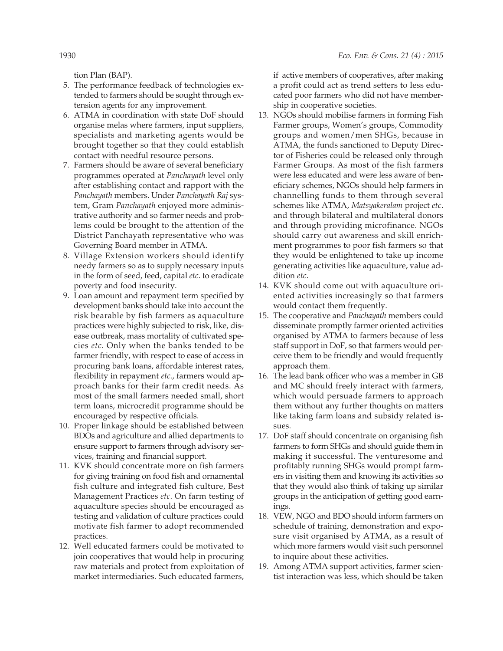tion Plan (BAP).

- 5. The performance feedback of technologies extended to farmers should be sought through extension agents for any improvement.
- 6. ATMA in coordination with state DoF should organise melas where farmers, input suppliers, specialists and marketing agents would be brought together so that they could establish contact with needful resource persons.
- 7. Farmers should be aware of several beneficiary programmes operated at *Panchayath* level only after establishing contact and rapport with the *Panchayath* members. Under *Panchayath Raj* system, Gram *Panchayath* enjoyed more administrative authority and so farmer needs and problems could be brought to the attention of the District Panchayath representative who was Governing Board member in ATMA.
- 8. Village Extension workers should identify needy farmers so as to supply necessary inputs in the form of seed, feed, capital *etc*. to eradicate poverty and food insecurity.
- 9. Loan amount and repayment term specified by development banks should take into account the risk bearable by fish farmers as aquaculture practices were highly subjected to risk, like, disease outbreak, mass mortality of cultivated species *etc*. Only when the banks tended to be farmer friendly, with respect to ease of access in procuring bank loans, affordable interest rates, flexibility in repayment *etc*., farmers would approach banks for their farm credit needs. As most of the small farmers needed small, short term loans, microcredit programme should be encouraged by respective officials.
- 10. Proper linkage should be established between BDOs and agriculture and allied departments to ensure support to farmers through advisory services, training and financial support.
- 11. KVK should concentrate more on fish farmers for giving training on food fish and ornamental fish culture and integrated fish culture, Best Management Practices *etc*. On farm testing of aquaculture species should be encouraged as testing and validation of culture practices could motivate fish farmer to adopt recommended practices.
- 12. Well educated farmers could be motivated to join cooperatives that would help in procuring raw materials and protect from exploitation of market intermediaries. Such educated farmers,

if active members of cooperatives, after making a profit could act as trend setters to less educated poor farmers who did not have membership in cooperative societies.

- 13. NGOs should mobilise farmers in forming Fish Farmer groups, Women's groups, Commodity groups and women/men SHGs, because in ATMA, the funds sanctioned to Deputy Director of Fisheries could be released only through Farmer Groups. As most of the fish farmers were less educated and were less aware of beneficiary schemes, NGOs should help farmers in channelling funds to them through several schemes like ATMA, *Matsyakeralam* project *etc*. and through bilateral and multilateral donors and through providing microfinance. NGOs should carry out awareness and skill enrichment programmes to poor fish farmers so that they would be enlightened to take up income generating activities like aquaculture, value addition *etc*.
- 14. KVK should come out with aquaculture oriented activities increasingly so that farmers would contact them frequently.
- 15. The cooperative and *Panchayath* members could disseminate promptly farmer oriented activities organised by ATMA to farmers because of less staff support in DoF, so that farmers would perceive them to be friendly and would frequently approach them.
- 16. The lead bank officer who was a member in GB and MC should freely interact with farmers, which would persuade farmers to approach them without any further thoughts on matters like taking farm loans and subsidy related issues.
- 17. DoF staff should concentrate on organising fish farmers to form SHGs and should guide them in making it successful. The venturesome and profitably running SHGs would prompt farmers in visiting them and knowing its activities so that they would also think of taking up similar groups in the anticipation of getting good earnings.
- 18. VEW, NGO and BDO should inform farmers on schedule of training, demonstration and exposure visit organised by ATMA, as a result of which more farmers would visit such personnel to inquire about these activities.
- 19. Among ATMA support activities, farmer scientist interaction was less, which should be taken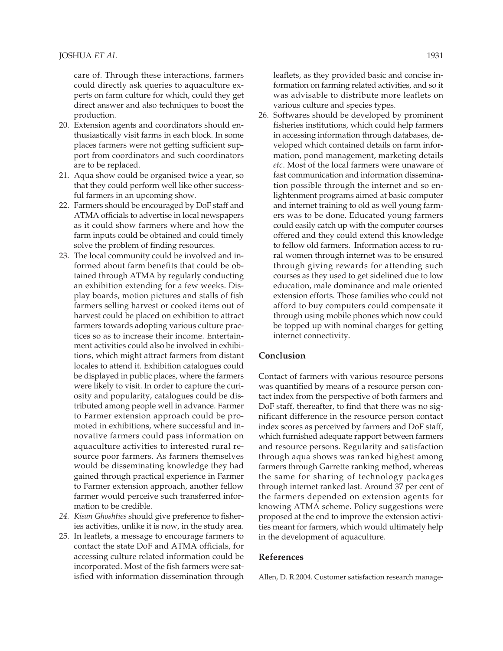care of. Through these interactions, farmers could directly ask queries to aquaculture experts on farm culture for which, could they get direct answer and also techniques to boost the production.

- 20. Extension agents and coordinators should enthusiastically visit farms in each block. In some places farmers were not getting sufficient support from coordinators and such coordinators are to be replaced.
- 21. Aqua show could be organised twice a year, so that they could perform well like other successful farmers in an upcoming show.
- 22. Farmers should be encouraged by DoF staff and ATMA officials to advertise in local newspapers as it could show farmers where and how the farm inputs could be obtained and could timely solve the problem of finding resources.
- 23. The local community could be involved and informed about farm benefits that could be obtained through ATMA by regularly conducting an exhibition extending for a few weeks. Display boards, motion pictures and stalls of fish farmers selling harvest or cooked items out of harvest could be placed on exhibition to attract farmers towards adopting various culture practices so as to increase their income. Entertainment activities could also be involved in exhibitions, which might attract farmers from distant locales to attend it. Exhibition catalogues could be displayed in public places, where the farmers were likely to visit. In order to capture the curiosity and popularity, catalogues could be distributed among people well in advance. Farmer to Farmer extension approach could be promoted in exhibitions, where successful and innovative farmers could pass information on aquaculture activities to interested rural resource poor farmers. As farmers themselves would be disseminating knowledge they had gained through practical experience in Farmer to Farmer extension approach, another fellow farmer would perceive such transferred information to be credible.
- *24. Kisan Ghoshties* should give preference to fisheries activities, unlike it is now, in the study area.
- 25. In leaflets, a message to encourage farmers to contact the state DoF and ATMA officials, for accessing culture related information could be incorporated. Most of the fish farmers were satisfied with information dissemination through

leaflets, as they provided basic and concise information on farming related activities, and so it was advisable to distribute more leaflets on various culture and species types.

26. Softwares should be developed by prominent fisheries institutions, which could help farmers in accessing information through databases, developed which contained details on farm information, pond management, marketing details *etc*. Most of the local farmers were unaware of fast communication and information dissemination possible through the internet and so enlightenment programs aimed at basic computer and internet training to old as well young farmers was to be done. Educated young farmers could easily catch up with the computer courses offered and they could extend this knowledge to fellow old farmers. Information access to rural women through internet was to be ensured through giving rewards for attending such courses as they used to get sidelined due to low education, male dominance and male oriented extension efforts. Those families who could not afford to buy computers could compensate it through using mobile phones which now could be topped up with nominal charges for getting internet connectivity.

## **Conclusion**

Contact of farmers with various resource persons was quantified by means of a resource person contact index from the perspective of both farmers and DoF staff, thereafter, to find that there was no significant difference in the resource person contact index scores as perceived by farmers and DoF staff, which furnished adequate rapport between farmers and resource persons. Regularity and satisfaction through aqua shows was ranked highest among farmers through Garrette ranking method, whereas the same for sharing of technology packages through internet ranked last. Around 37 per cent of the farmers depended on extension agents for knowing ATMA scheme. Policy suggestions were proposed at the end to improve the extension activities meant for farmers, which would ultimately help in the development of aquaculture.

#### **References**

Allen, D. R.2004. Customer satisfaction research manage-